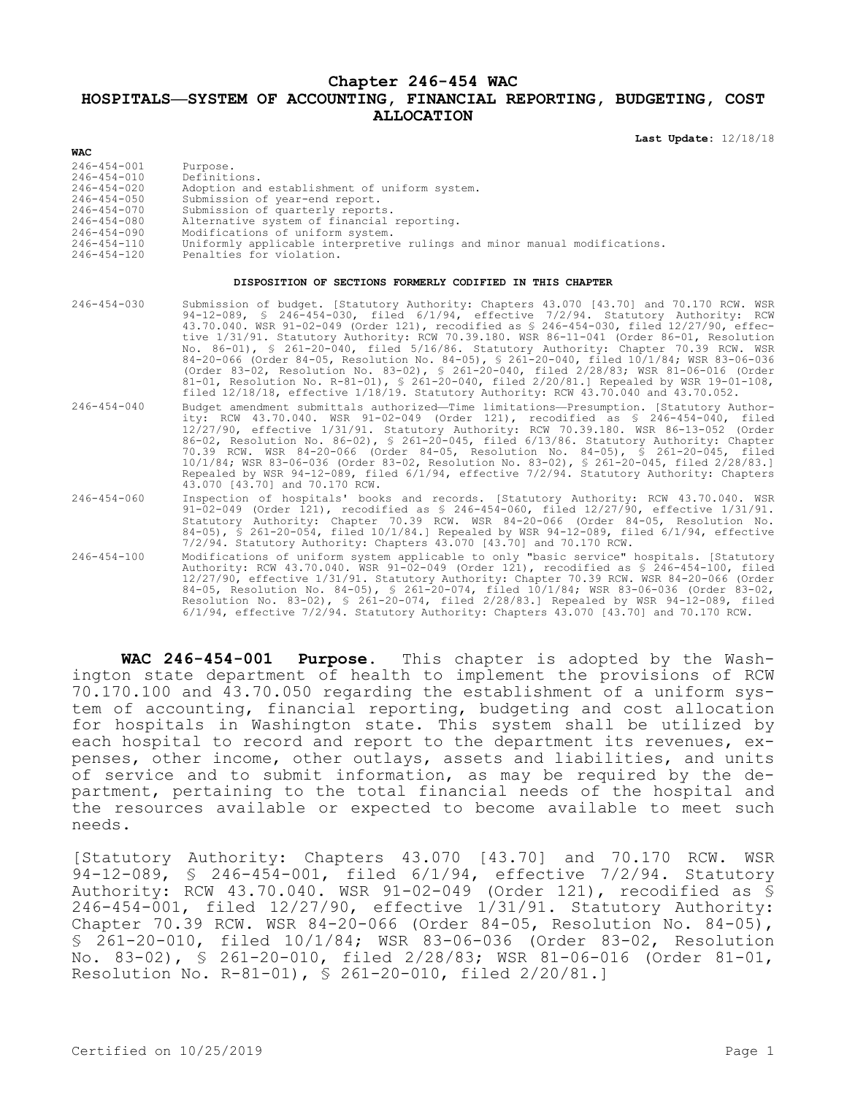## **Chapter 246-454 WAC**

## **HOSPITALS—SYSTEM OF ACCOUNTING, FINANCIAL REPORTING, BUDGETING, COST ALLOCATION**

**Last Update:** 12/18/18

| 246-454-001       | Purpose.                                                                  |
|-------------------|---------------------------------------------------------------------------|
| 246-454-010       | Definitions.                                                              |
| 246-454-020       | Adoption and establishment of uniform system.                             |
| $246 - 454 - 050$ | Submission of year-end report.                                            |
| $246 - 454 - 070$ | Submission of quarterly reports.                                          |
| 246-454-080       | Alternative system of financial reporting.                                |
| $246 - 454 - 090$ | Modifications of uniform system.                                          |
| 246-454-110       | Uniformly applicable interpretive rulings and minor manual modifications. |
| 246-454-120       | Penalties for violation.                                                  |

## **DISPOSITION OF SECTIONS FORMERLY CODIFIED IN THIS CHAPTER**

| $246 - 454 - 030$ | Submission of budget. [Statutory Authority: Chapters 43.070 [43.70] and 70.170 RCW. WSR<br>94-12-089, § 246-454-030, filed 6/1/94, effective 7/2/94. Statutory Authority: RCW<br>43.70.040. WSR 91-02-049 (Order 121), recodified as \$ 246-454-030, filed 12/27/90, effec-<br>tive 1/31/91. Statutory Authority: RCW 70.39.180. WSR 86-11-041 (Order 86-01, Resolution<br>No. 86-01), § 261-20-040, filed 5/16/86. Statutory Authority: Chapter 70.39 RCW. WSR<br>84-20-066 (Order 84-05, Resolution No. 84-05), § 261-20-040, filed 10/1/84; WSR 83-06-036<br>(Order 83-02, Resolution No. 83-02), § 261-20-040, filed 2/28/83; WSR 81-06-016 (Order<br>81-01, Resolution No. R-81-01), § 261-20-040, filed $2/20/81$ . Repealed by WSR 19-01-108,<br>filed 12/18/18, effective 1/18/19. Statutory Authority: RCW 43.70.040 and 43.70.052. |
|-------------------|----------------------------------------------------------------------------------------------------------------------------------------------------------------------------------------------------------------------------------------------------------------------------------------------------------------------------------------------------------------------------------------------------------------------------------------------------------------------------------------------------------------------------------------------------------------------------------------------------------------------------------------------------------------------------------------------------------------------------------------------------------------------------------------------------------------------------------------------|
| $246 - 454 - 040$ | Budget amendment submittals authorized-Time limitations-Presumption. [Statutory Author-<br>ity: RCW 43.70.040. WSR 91-02-049 (Order 121), recodified as \$ 246-454-040, filed<br>12/27/90, effective 1/31/91. Statutory Authority: RCW 70.39.180. WSR 86-13-052 (Order<br>86-02, Resolution No. 86-02), § 261-20-045, filed 6/13/86. Statutory Authority: Chapter<br>70.39 RCW. WSR 84-20-066 (Order 84-05, Resolution No. 84-05), § 261-20-045, filed<br>10/1/84; WSR 83-06-036 (Order 83-02, Resolution No. 83-02), § 261-20-045, filed 2/28/83.1<br>Repealed by WSR 94-12-089, filed 6/1/94, effective 7/2/94. Statutory Authority: Chapters<br>43.070 [43.70] and 70.170 RCW.                                                                                                                                                            |
| $246 - 454 - 060$ | Inspection of hospitals' books and records. [Statutory Authority: RCW 43.70.040. WSR<br>91-02-049 (Order 121), recodified as $$246-454-060$ , filed $12/27/90$ , effective $1/31/91$ .<br>Statutory Authority: Chapter 70.39 RCW. WSR 84-20-066 (Order 84-05, Resolution No.<br>84-05), § 261-20-054, filed $10/1/84$ . Repealed by WSR 94-12-089, filed 6/1/94, effective<br>7/2/94. Statutory Authority: Chapters 43.070 [43.70] and 70.170 RCW.                                                                                                                                                                                                                                                                                                                                                                                           |
| $246 - 454 - 100$ | Modifications of uniform system applicable to only "basic service" hospitals. [Statutory<br>Authority: RCW 43.70.040. WSR 91-02-049 (Order 121), recodified as \$ 246-454-100, filed<br>12/27/90, effective 1/31/91. Statutory Authority: Chapter 70.39 RCW. WSR 84-20-066 (Order<br>84-05, Resolution No. 84-05), § 261-20-074, filed 10/1/84; WSR 83-06-036 (Order 83-02,<br>Resolution No. 83-02), § 261-20-074, filed 2/28/83.] Repealed by WSR 94-12-089, filed<br>$6/1/94$ , effective $7/2/94$ . Statutory Authority: Chapters 43.070 [43.70] and 70.170 RCW.                                                                                                                                                                                                                                                                         |

**WAC 246-454-001 Purpose.** This chapter is adopted by the Washington state department of health to implement the provisions of RCW 70.170.100 and 43.70.050 regarding the establishment of a uniform system of accounting, financial reporting, budgeting and cost allocation for hospitals in Washington state. This system shall be utilized by each hospital to record and report to the department its revenues, expenses, other income, other outlays, assets and liabilities, and units of service and to submit information, as may be required by the department, pertaining to the total financial needs of the hospital and the resources available or expected to become available to meet such needs.

[Statutory Authority: Chapters 43.070 [43.70] and 70.170 RCW. WSR 94-12-089, § 246-454-001, filed 6/1/94, effective 7/2/94. Statutory Authority: RCW 43.70.040. WSR 91-02-049 (Order 121), recodified as § 246-454-001, filed 12/27/90, effective 1/31/91. Statutory Authority: Chapter 70.39 RCW. WSR 84-20-066 (Order 84-05, Resolution No. 84-05), § 261-20-010, filed 10/1/84; WSR 83-06-036 (Order 83-02, Resolution No. 83-02), § 261-20-010, filed 2/28/83; WSR 81-06-016 (Order 81-01, Resolution No. R-81-01), § 261-20-010, filed 2/20/81.]

**WAC**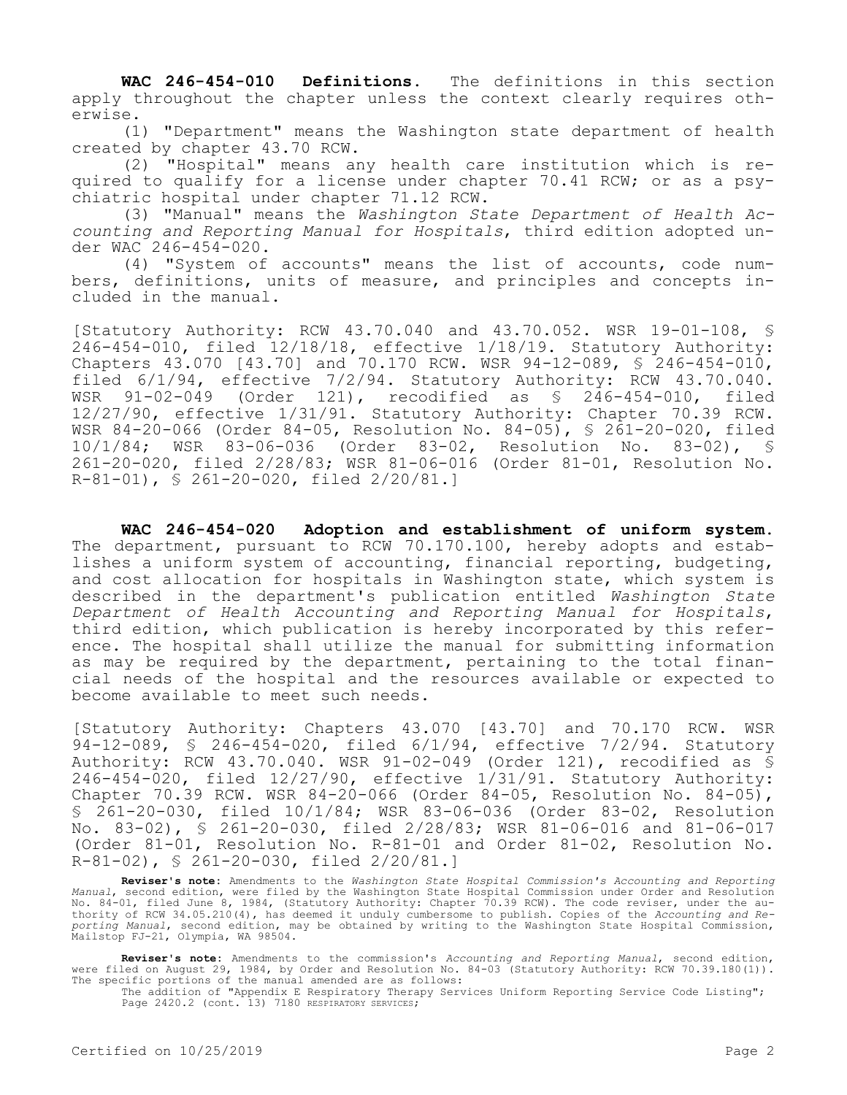**WAC 246-454-010 Definitions.** The definitions in this section apply throughout the chapter unless the context clearly requires otherwise.

(1) "Department" means the Washington state department of health created by chapter 43.70 RCW.

(2) "Hospital" means any health care institution which is required to qualify for a license under chapter 70.41 RCW; or as a psychiatric hospital under chapter 71.12 RCW.

(3) "Manual" means the *Washington State Department of Health Accounting and Reporting Manual for Hospitals*, third edition adopted under WAC 246-454-020.

(4) "System of accounts" means the list of accounts, code numbers, definitions, units of measure, and principles and concepts included in the manual.

[Statutory Authority: RCW 43.70.040 and 43.70.052. WSR 19-01-108, § 246-454-010, filed 12/18/18, effective 1/18/19. Statutory Authority: Chapters 43.070 [43.70] and 70.170 RCW. WSR 94-12-089, § 246-454-010, filed 6/1/94, effective 7/2/94. Statutory Authority: RCW 43.70.040. WSR 91-02-049 (Order 121), recodified as § 246-454-010, filed 12/27/90, effective 1/31/91. Statutory Authority: Chapter 70.39 RCW. WSR 84-20-066 (Order 84-05, Resolution No. 84-05), § 261-20-020, filed 10/1/84; WSR 83-06-036 (Order 83-02, Resolution No. 83-02), § 261-20-020, filed 2/28/83; WSR 81-06-016 (Order 81-01, Resolution No. R-81-01), § 261-20-020, filed 2/20/81.]

**WAC 246-454-020 Adoption and establishment of uniform system.**  The department, pursuant to RCW 70.170.100, hereby adopts and establishes a uniform system of accounting, financial reporting, budgeting, and cost allocation for hospitals in Washington state, which system is described in the department's publication entitled *Washington State Department of Health Accounting and Reporting Manual for Hospitals*, third edition, which publication is hereby incorporated by this reference. The hospital shall utilize the manual for submitting information as may be required by the department, pertaining to the total financial needs of the hospital and the resources available or expected to become available to meet such needs.

[Statutory Authority: Chapters 43.070 [43.70] and 70.170 RCW. WSR 94-12-089, § 246-454-020, filed 6/1/94, effective 7/2/94. Statutory Authority: RCW 43.70.040. WSR 91-02-049 (Order 121), recodified as § 246-454-020, filed 12/27/90, effective 1/31/91. Statutory Authority: Chapter 70.39 RCW. WSR 84-20-066 (Order 84-05, Resolution No. 84-05), § 261-20-030, filed 10/1/84; WSR 83-06-036 (Order 83-02, Resolution No. 83-02), § 261-20-030, filed 2/28/83; WSR 81-06-016 and 81-06-017 (Order 81-01, Resolution No. R-81-01 and Order 81-02, Resolution No. R-81-02), § 261-20-030, filed 2/20/81.]

**Reviser's note:** Amendments to the *Washington State Hospital Commission's Accounting and Reporting Manual*, second edition, were filed by the Washington State Hospital Commission under Order and Resolution No. 84-01, filed June 8, 1984, (Statutory Authority: Chapter 70.39 RCW). The code reviser, under the au-thority of RCW 34.05.210(4), has deemed it unduly cumbersome to publish. Copies of the *Accounting and Reporting Manual*, second edition, may be obtained by writing to the Washington State Hospital Commission, Mailstop FJ-21, Olympia, WA 98504.

**Reviser's note:** Amendments to the commission's *Accounting and Reporting Manual*, second edition, were filed on August 29, 1984, by Order and Resolution No. 84-03 (Statutory Authority: RCW 70.39.180(1)). The specific portions of the manual amended are as follows:

The addition of "Appendix E Respiratory Therapy Services Uniform Reporting Service Code Listing"; Page 2420.2 (cont. 13) 7180 RESPIRATORY SERVICES;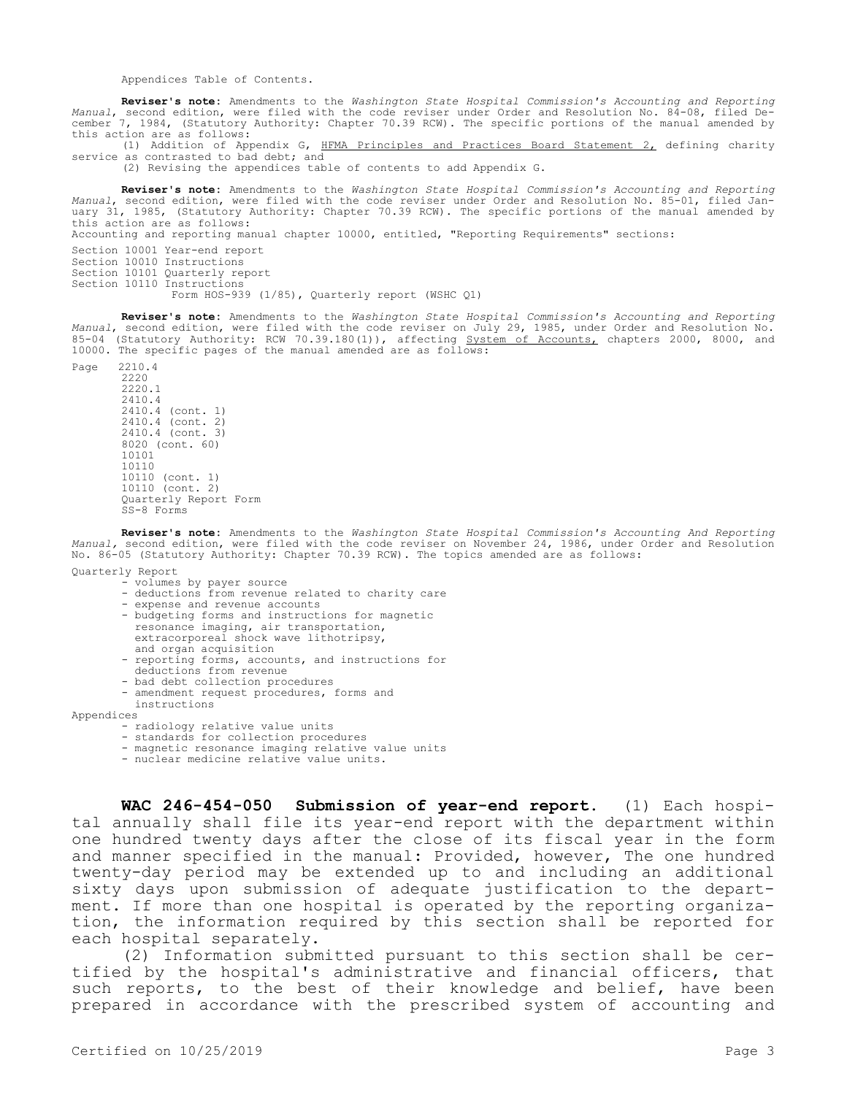Appendices Table of Contents.

**Reviser's note:** Amendments to the *Washington State Hospital Commission's Accounting and Reporting Manual*, second edition, were filed with the code reviser under Order and Resolution No. 84-08, filed December 7, 1984, (Statutory Authority: Chapter 70.39 RCW). The specific portions of the manual amended by this action are as follows:

(1) Addition of Appendix G, HFMA Principles and Practices Board Statement 2, defining charity service as contrasted to bad debt; and

(2) Revising the appendices table of contents to add Appendix G.

**Reviser's note:** Amendments to the *Washington State Hospital Commission's Accounting and Reporting Manual*, second edition, were filed with the code reviser under Order and Resolution No. 85-01, filed January 31, 1985, (Statutory Authority: Chapter 70.39 RCW). The specific portions of the manual amended by this action are as follows:

Accounting and reporting manual chapter 10000, entitled, "Reporting Requirements" sections:

Section 10001 Year-end report Section 10010 Instructions

Section 10101 Quarterly report

Section 10110 Instructions

Form HOS-939 (1/85), Quarterly report (WSHC Q1)

**Reviser's note:** Amendments to the *Washington State Hospital Commission's Accounting and Reporting Manual*, second edition, were filed with the code reviser on July 29, 1985, under Order and Resolution No. 85-04 (Statutory Authority: RCW 70.39.180(1)), affecting System of Accounts, chapters 2000, 8000, and 10000. The specific pages of the manual amended are as follows:

Page 2210.4 2220 2220.1 2410.4 2410.4 (cont. 1) 2410.4 (cont. 2) 2410.4 (cont. 3) 8020 (cont. 60) 10101 10110 10110 (cont. 1) 10110 (cont. 2) Quarterly Report Form SS-8 Forms

**Reviser's note:** Amendments to the *Washington State Hospital Commission's Accounting And Reporting Manual,* second edition, were filed with the code reviser on November 24, 1986, under Order and Resolution No. 86-05 (Statutory Authority: Chapter 70.39 RCW). The topics amended are as follows:

Quarterly Report

- volumes by payer source
- deductions from revenue related to charity care
- expense and revenue accounts
- budgeting forms and instructions for magnetic
- resonance imaging, air transportation,
- extracorporeal shock wave lithotripsy,
- and organ acquisition
- reporting forms, accounts, and instructions for
- deductions from revenue
- bad debt collection procedures
- amendment request procedures, forms and instructions

Appendices

- radiology relative value units
- standards for collection procedures
- magnetic resonance imaging relative value units
- nuclear medicine relative value units.

**WAC 246-454-050 Submission of year-end report.** (1) Each hospital annually shall file its year-end report with the department within one hundred twenty days after the close of its fiscal year in the form and manner specified in the manual: Provided, however, The one hundred twenty-day period may be extended up to and including an additional sixty days upon submission of adequate justification to the department. If more than one hospital is operated by the reporting organization, the information required by this section shall be reported for each hospital separately.

(2) Information submitted pursuant to this section shall be certified by the hospital's administrative and financial officers, that such reports, to the best of their knowledge and belief, have been prepared in accordance with the prescribed system of accounting and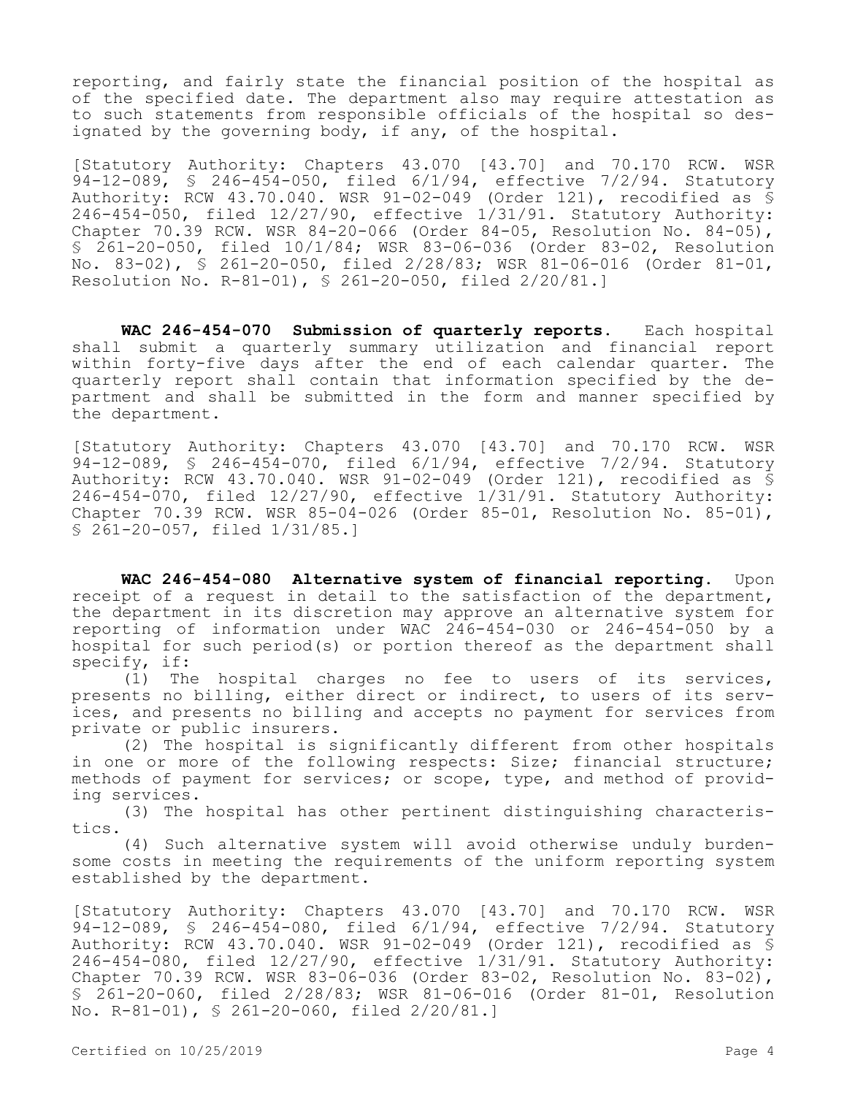reporting, and fairly state the financial position of the hospital as of the specified date. The department also may require attestation as to such statements from responsible officials of the hospital so designated by the governing body, if any, of the hospital.

[Statutory Authority: Chapters 43.070 [43.70] and 70.170 RCW. WSR 94-12-089, § 246-454-050, filed 6/1/94, effective 7/2/94. Statutory Authority: RCW 43.70.040. WSR 91-02-049 (Order 121), recodified as § 246-454-050, filed 12/27/90, effective 1/31/91. Statutory Authority: Chapter 70.39 RCW. WSR 84-20-066 (Order 84-05, Resolution No. 84-05), § 261-20-050, filed 10/1/84; WSR 83-06-036 (Order 83-02, Resolution No. 83-02), § 261-20-050, filed 2/28/83; WSR 81-06-016 (Order 81-01, Resolution No. R-81-01), § 261-20-050, filed 2/20/81.]

**WAC 246-454-070 Submission of quarterly reports.** Each hospital shall submit a quarterly summary utilization and financial report within forty-five days after the end of each calendar quarter. The quarterly report shall contain that information specified by the department and shall be submitted in the form and manner specified by the department.

[Statutory Authority: Chapters 43.070 [43.70] and 70.170 RCW. WSR 94-12-089, § 246-454-070, filed 6/1/94, effective 7/2/94. Statutory Authority: RCW 43.70.040. WSR 91-02-049 (Order 121), recodified as § 246-454-070, filed 12/27/90, effective 1/31/91. Statutory Authority: Chapter 70.39 RCW. WSR 85-04-026 (Order 85-01, Resolution No. 85-01), § 261-20-057, filed 1/31/85.]

**WAC 246-454-080 Alternative system of financial reporting.** Upon receipt of a request in detail to the satisfaction of the department, the department in its discretion may approve an alternative system for reporting of information under WAC 246-454-030 or 246-454-050 by a hospital for such period(s) or portion thereof as the department shall specify, if:

(1) The hospital charges no fee to users of its services, presents no billing, either direct or indirect, to users of its services, and presents no billing and accepts no payment for services from private or public insurers.

(2) The hospital is significantly different from other hospitals in one or more of the following respects: Size; financial structure; methods of payment for services; or scope, type, and method of providing services.

(3) The hospital has other pertinent distinguishing characteristics.

(4) Such alternative system will avoid otherwise unduly burdensome costs in meeting the requirements of the uniform reporting system established by the department.

[Statutory Authority: Chapters 43.070 [43.70] and 70.170 RCW. WSR 94-12-089, § 246-454-080, filed 6/1/94, effective 7/2/94. Statutory Authority: RCW 43.70.040. WSR 91-02-049 (Order 121), recodified as § 246-454-080, filed 12/27/90, effective 1/31/91. Statutory Authority: Chapter 70.39 RCW. WSR 83-06-036 (Order 83-02, Resolution No. 83-02), § 261-20-060, filed 2/28/83; WSR 81-06-016 (Order 81-01, Resolution No. R-81-01), § 261-20-060, filed 2/20/81.]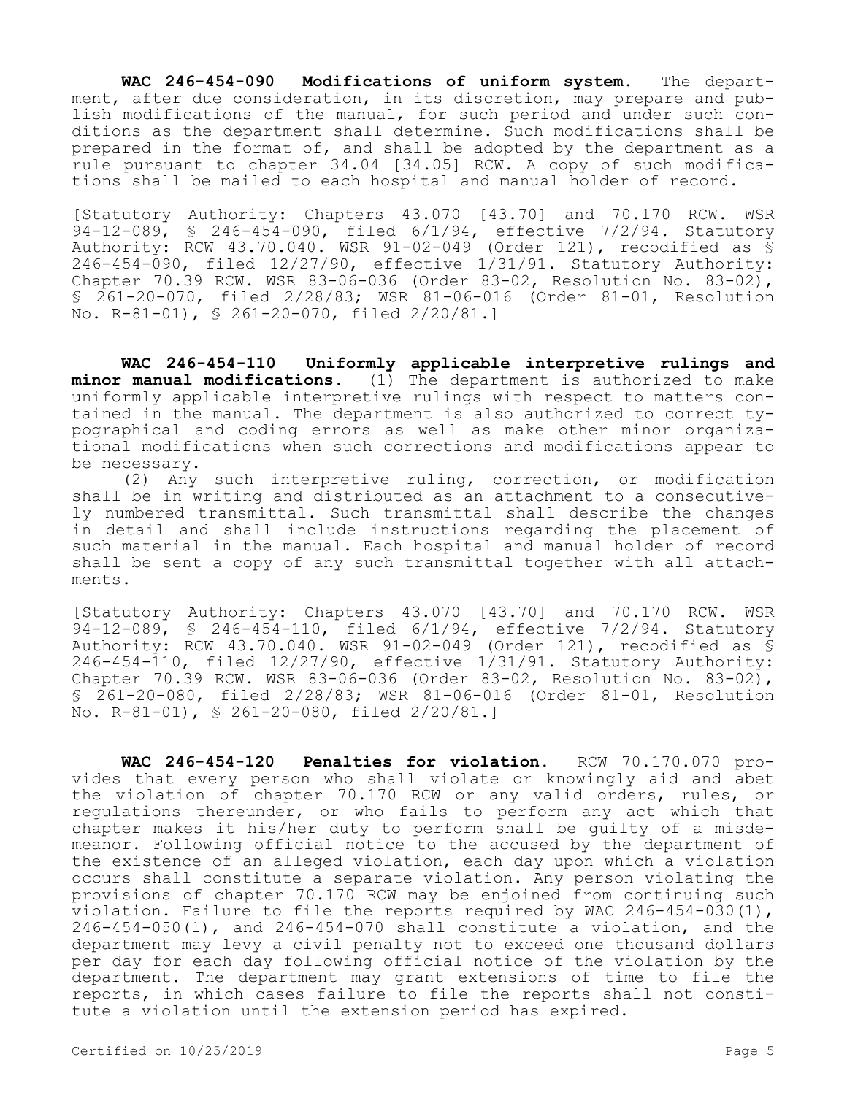**WAC 246-454-090 Modifications of uniform system.** The department, after due consideration, in its discretion, may prepare and publish modifications of the manual, for such period and under such conditions as the department shall determine. Such modifications shall be prepared in the format of, and shall be adopted by the department as a rule pursuant to chapter 34.04 [34.05] RCW. A copy of such modifications shall be mailed to each hospital and manual holder of record.

[Statutory Authority: Chapters 43.070 [43.70] and 70.170 RCW. WSR 94-12-089, § 246-454-090, filed 6/1/94, effective 7/2/94. Statutory Authority: RCW 43.70.040. WSR 91-02-049 (Order 121), recodified as § 246-454-090, filed 12/27/90, effective 1/31/91. Statutory Authority: Chapter 70.39 RCW. WSR 83-06-036 (Order 83-02, Resolution No. 83-02), § 261-20-070, filed 2/28/83; WSR 81-06-016 (Order 81-01, Resolution No. R-81-01), § 261-20-070, filed 2/20/81.]

**WAC 246-454-110 Uniformly applicable interpretive rulings and minor manual modifications.** (1) The department is authorized to make uniformly applicable interpretive rulings with respect to matters contained in the manual. The department is also authorized to correct typographical and coding errors as well as make other minor organizational modifications when such corrections and modifications appear to be necessary.

(2) Any such interpretive ruling, correction, or modification shall be in writing and distributed as an attachment to a consecutively numbered transmittal. Such transmittal shall describe the changes in detail and shall include instructions regarding the placement of such material in the manual. Each hospital and manual holder of record shall be sent a copy of any such transmittal together with all attachments.

[Statutory Authority: Chapters 43.070 [43.70] and 70.170 RCW. WSR 94-12-089, § 246-454-110, filed 6/1/94, effective 7/2/94. Statutory Authority: RCW 43.70.040. WSR 91-02-049 (Order 121), recodified as § 246-454-110, filed 12/27/90, effective 1/31/91. Statutory Authority: Chapter 70.39 RCW. WSR 83-06-036 (Order 83-02, Resolution No. 83-02), § 261-20-080, filed 2/28/83; WSR 81-06-016 (Order 81-01, Resolution No. R-81-01), § 261-20-080, filed 2/20/81.]

**WAC 246-454-120 Penalties for violation.** RCW 70.170.070 provides that every person who shall violate or knowingly aid and abet the violation of chapter 70.170 RCW or any valid orders, rules, or regulations thereunder, or who fails to perform any act which that chapter makes it his/her duty to perform shall be guilty of a misdemeanor. Following official notice to the accused by the department of the existence of an alleged violation, each day upon which a violation occurs shall constitute a separate violation. Any person violating the provisions of chapter 70.170 RCW may be enjoined from continuing such violation. Failure to file the reports required by WAC  $246-454-030(1)$ , 246-454-050(1), and 246-454-070 shall constitute a violation, and the department may levy a civil penalty not to exceed one thousand dollars per day for each day following official notice of the violation by the department. The department may grant extensions of time to file the reports, in which cases failure to file the reports shall not constitute a violation until the extension period has expired.